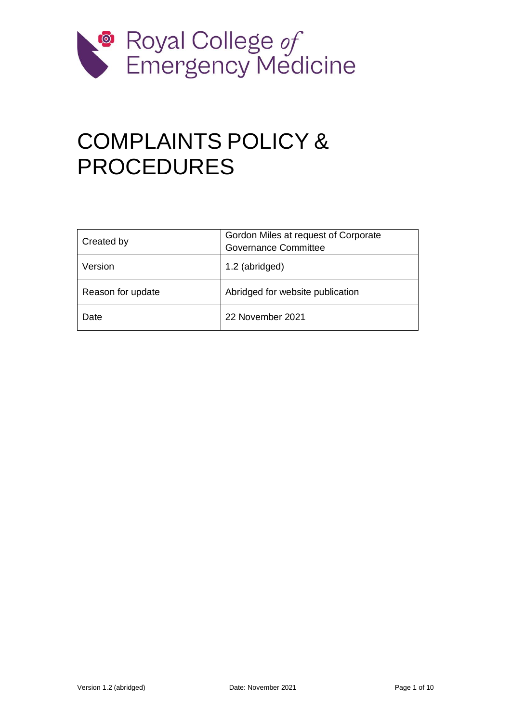

# COMPLAINTS POLICY & PROCEDURES

| Created by        | Gordon Miles at request of Corporate<br><b>Governance Committee</b> |
|-------------------|---------------------------------------------------------------------|
| Version           | 1.2 (abridged)                                                      |
| Reason for update | Abridged for website publication                                    |
| Date              | 22 November 2021                                                    |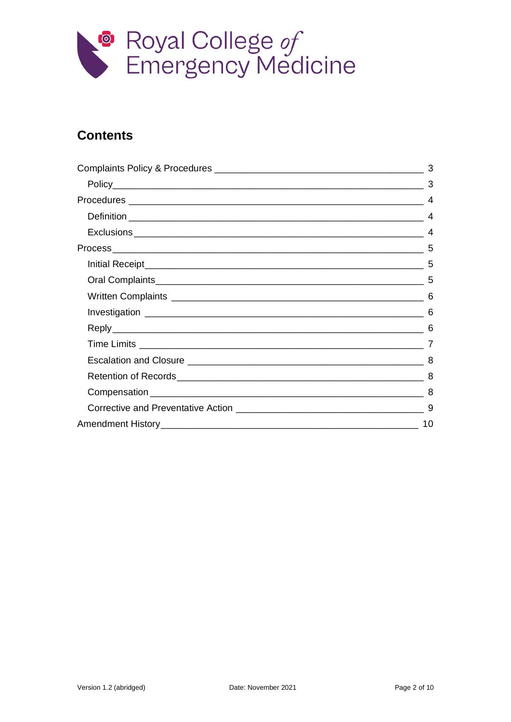

#### **Contents**

|  | $\overline{4}$ |
|--|----------------|
|  |                |
|  | $\overline{A}$ |
|  | 5              |
|  |                |
|  |                |
|  |                |
|  | 6              |
|  |                |
|  |                |
|  |                |
|  |                |
|  | -8             |
|  |                |
|  |                |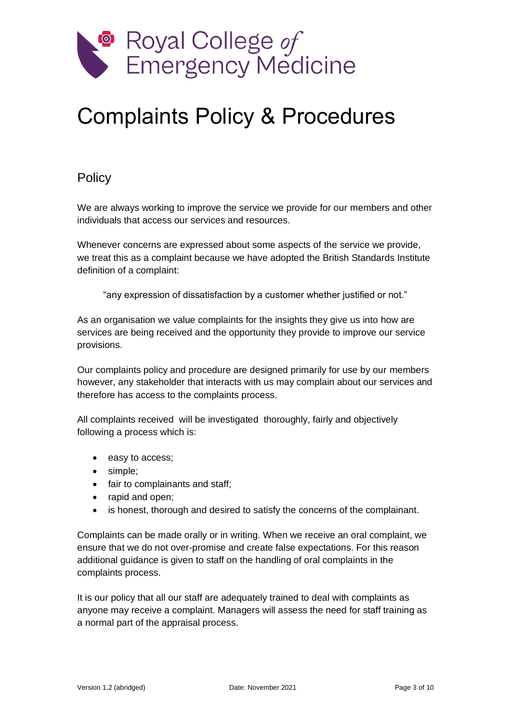

# <span id="page-2-0"></span>Complaints Policy & Procedures

#### <span id="page-2-1"></span>**Policy**

We are always working to improve the service we provide for our members and other individuals that access our services and resources.

Whenever concerns are expressed about some aspects of the service we provide, we treat this as a complaint because we have adopted the British Standards Institute definition of a complaint:

"any expression of dissatisfaction by a customer whether justified or not."

As an organisation we value complaints for the insights they give us into how are services are being received and the opportunity they provide to improve our service provisions.

Our complaints policy and procedure are designed primarily for use by our members however, any stakeholder that interacts with us may complain about our services and therefore has access to the complaints process.

All complaints received will be investigated thoroughly, fairly and objectively following a process which is:

- easy to access;
- simple:
- fair to complainants and staff;
- rapid and open:
- is honest, thorough and desired to satisfy the concerns of the complainant.

Complaints can be made orally or in writing. When we receive an oral complaint, we ensure that we do not over-promise and create false expectations. For this reason additional guidance is given to staff on the handling of oral complaints in the complaints process.

It is our policy that all our staff are adequately trained to deal with complaints as anyone may receive a complaint. Managers will assess the need for staff training as a normal part of the appraisal process.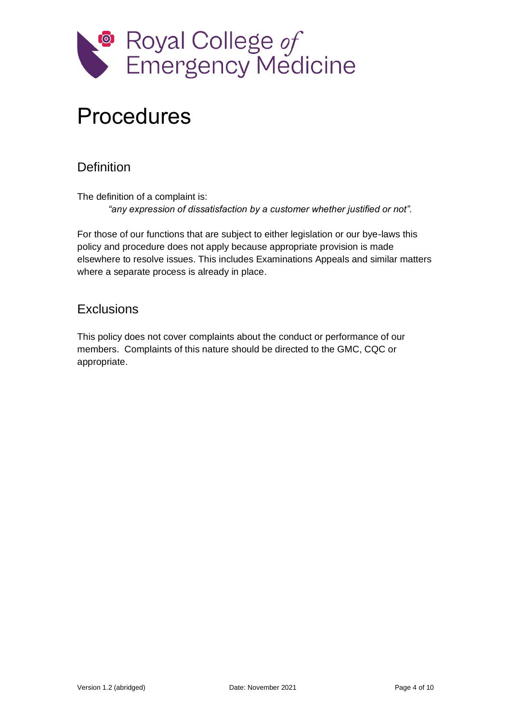

### <span id="page-3-0"></span>Procedures

#### <span id="page-3-1"></span>**Definition**

The definition of a complaint is: *"any expression of dissatisfaction by a customer whether justified or not".*

For those of our functions that are subject to either legislation or our bye-laws this policy and procedure does not apply because appropriate provision is made elsewhere to resolve issues. This includes Examinations Appeals and similar matters where a separate process is already in place.

#### <span id="page-3-2"></span>**Exclusions**

This policy does not cover complaints about the conduct or performance of our members. Complaints of this nature should be directed to the GMC, CQC or appropriate.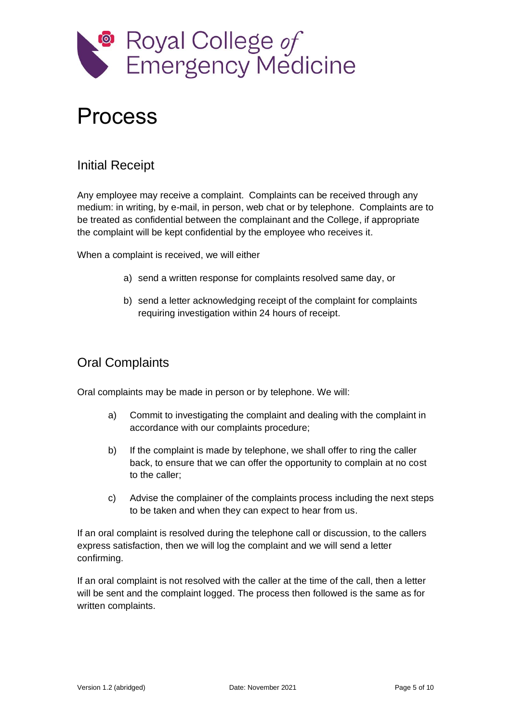

### <span id="page-4-0"></span>Process

#### <span id="page-4-1"></span>Initial Receipt

Any employee may receive a complaint. Complaints can be received through any medium: in writing, by e-mail, in person, web chat or by telephone. Complaints are to be treated as confidential between the complainant and the College, if appropriate the complaint will be kept confidential by the employee who receives it.

When a complaint is received, we will either

- a) send a written response for complaints resolved same day, or
- b) send a letter acknowledging receipt of the complaint for complaints requiring investigation within 24 hours of receipt.

#### <span id="page-4-2"></span>Oral Complaints

Oral complaints may be made in person or by telephone. We will:

- a) Commit to investigating the complaint and dealing with the complaint in accordance with our complaints procedure;
- b) If the complaint is made by telephone, we shall offer to ring the caller back, to ensure that we can offer the opportunity to complain at no cost to the caller;
- c) Advise the complainer of the complaints process including the next steps to be taken and when they can expect to hear from us.

If an oral complaint is resolved during the telephone call or discussion, to the callers express satisfaction, then we will log the complaint and we will send a letter confirming.

If an oral complaint is not resolved with the caller at the time of the call, then a letter will be sent and the complaint logged. The process then followed is the same as for written complaints.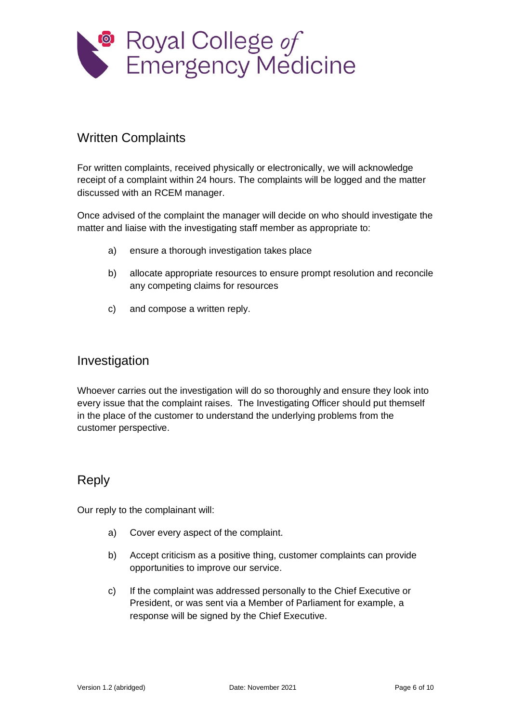

#### <span id="page-5-0"></span>Written Complaints

For written complaints, received physically or electronically, we will acknowledge receipt of a complaint within 24 hours. The complaints will be logged and the matter discussed with an RCEM manager.

Once advised of the complaint the manager will decide on who should investigate the matter and liaise with the investigating staff member as appropriate to:

- a) ensure a thorough investigation takes place
- b) allocate appropriate resources to ensure prompt resolution and reconcile any competing claims for resources
- c) and compose a written reply.

#### <span id="page-5-1"></span>Investigation

Whoever carries out the investigation will do so thoroughly and ensure they look into every issue that the complaint raises. The Investigating Officer should put themself in the place of the customer to understand the underlying problems from the customer perspective.

#### <span id="page-5-2"></span>Reply

Our reply to the complainant will:

- a) Cover every aspect of the complaint.
- b) Accept criticism as a positive thing, customer complaints can provide opportunities to improve our service.
- c) If the complaint was addressed personally to the Chief Executive or President, or was sent via a Member of Parliament for example, a response will be signed by the Chief Executive.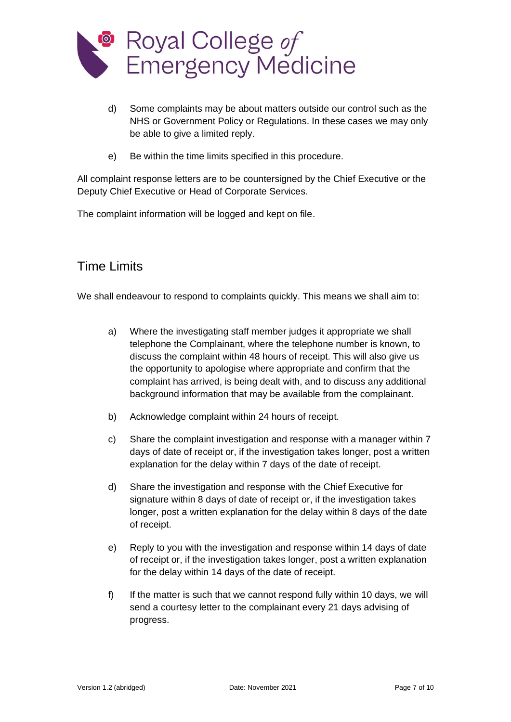

- d) Some complaints may be about matters outside our control such as the NHS or Government Policy or Regulations. In these cases we may only be able to give a limited reply.
- e) Be within the time limits specified in this procedure.

All complaint response letters are to be countersigned by the Chief Executive or the Deputy Chief Executive or Head of Corporate Services.

The complaint information will be logged and kept on file.

#### <span id="page-6-0"></span>Time Limits

We shall endeavour to respond to complaints quickly. This means we shall aim to:

- a) Where the investigating staff member judges it appropriate we shall telephone the Complainant, where the telephone number is known, to discuss the complaint within 48 hours of receipt. This will also give us the opportunity to apologise where appropriate and confirm that the complaint has arrived, is being dealt with, and to discuss any additional background information that may be available from the complainant.
- b) Acknowledge complaint within 24 hours of receipt.
- c) Share the complaint investigation and response with a manager within 7 days of date of receipt or, if the investigation takes longer, post a written explanation for the delay within 7 days of the date of receipt.
- d) Share the investigation and response with the Chief Executive for signature within 8 days of date of receipt or, if the investigation takes longer, post a written explanation for the delay within 8 days of the date of receipt.
- e) Reply to you with the investigation and response within 14 days of date of receipt or, if the investigation takes longer, post a written explanation for the delay within 14 days of the date of receipt.
- f) If the matter is such that we cannot respond fully within 10 days, we will send a courtesy letter to the complainant every 21 days advising of progress.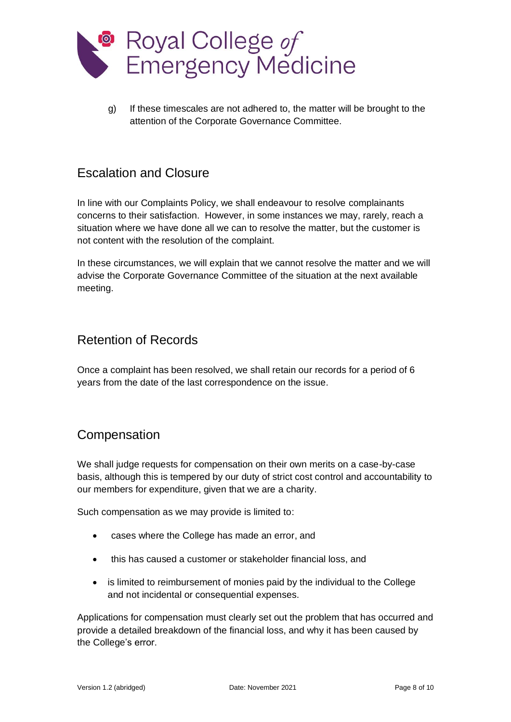

g) If these timescales are not adhered to, the matter will be brought to the attention of the Corporate Governance Committee.

#### <span id="page-7-0"></span>Escalation and Closure

In line with our Complaints Policy, we shall endeavour to resolve complainants concerns to their satisfaction. However, in some instances we may, rarely, reach a situation where we have done all we can to resolve the matter, but the customer is not content with the resolution of the complaint.

In these circumstances, we will explain that we cannot resolve the matter and we will advise the Corporate Governance Committee of the situation at the next available meeting.

#### <span id="page-7-1"></span>Retention of Records

Once a complaint has been resolved, we shall retain our records for a period of 6 years from the date of the last correspondence on the issue.

#### <span id="page-7-2"></span>**Compensation**

We shall judge requests for compensation on their own merits on a case-by-case basis, although this is tempered by our duty of strict cost control and accountability to our members for expenditure, given that we are a charity.

Such compensation as we may provide is limited to:

- cases where the College has made an error, and
- this has caused a customer or stakeholder financial loss, and
- is limited to reimbursement of monies paid by the individual to the College and not incidental or consequential expenses.

Applications for compensation must clearly set out the problem that has occurred and provide a detailed breakdown of the financial loss, and why it has been caused by the College's error.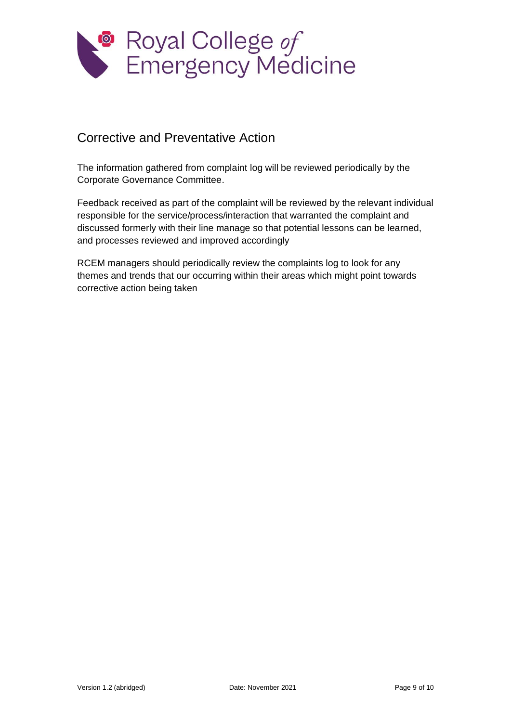

#### <span id="page-8-0"></span>Corrective and Preventative Action

The information gathered from complaint log will be reviewed periodically by the Corporate Governance Committee.

Feedback received as part of the complaint will be reviewed by the relevant individual responsible for the service/process/interaction that warranted the complaint and discussed formerly with their line manage so that potential lessons can be learned, and processes reviewed and improved accordingly

RCEM managers should periodically review the complaints log to look for any themes and trends that our occurring within their areas which might point towards corrective action being taken